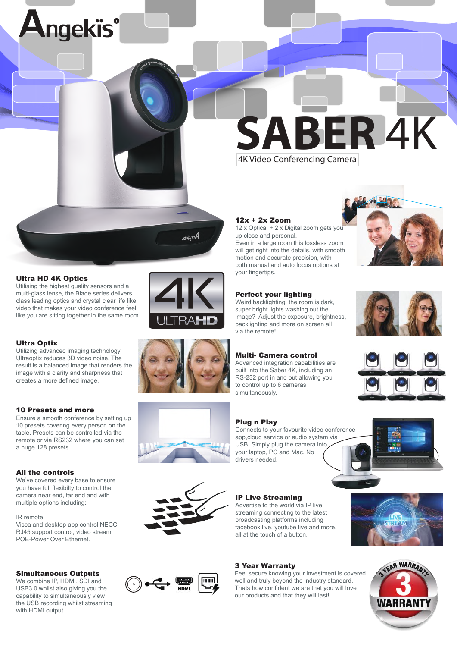

# 12x + 2x Zoom

12 x Optical + 2 x Digital zoom gets you up close and personal. Even in a large room this lossless zoom will get right into the details, with smooth motion and accurate precision, with both manual and auto focus options at your fingertips.

# Perfect your lighting

Weird backlighting, the room is dark, super bright lights washing out the image? Adjust the exposure, brightness, backlighting and more on screen all via the remote!

# Multi- Camera control

Advanced integration capabilities are built into the Saber 4K, including an RS-232 port in and out allowing you to control up to 6 cameras simultaneously.

# Plug n Play

Connects to your favourite video conference app,cloud service or audio system via USB. Simply plug the camera into your laptop, PC and Mac. No drivers needed.

# IP Live Streaming

Advertise to the world via IP live streaming connecting to the latest broadcasting platforms including facebook live, youtube live and more, all at the touch of a button.

# 3 Year Warranty

Feel secure knowing your investment is covered well and truly beyond the industry standard. Thats how confident we are that you will love our products and that they will last!













## Ultra HD 4K Optics

Utilising the highest quality sensors and a multi-glass lense, the Blade series delivers class leading optics and crystal clear life like video that makes your video conference feel like you are sitting together in the same room.

ngekïs®



Utilizing advanced imaging technology, Ultraoptix reduces 3D video noise. The result is a balanced image that renders the image with a clarity and sharpness that creates a more defined image.

### 10 Presets and more

Ensure a smooth conference by setting up 10 presets covering every person on the table. Presets can be controlled via the remote or via RS232 where you can set a huge 128 presets.

### All the controls

We've covered every base to ensure you have full flexibilty to control the camera near end, far end and with multiple options including:

#### IR remote,

Visca and desktop app control NECC. RJ45 support control, video stream POE-Power Over Ethernet.

### Simultaneous Outputs

We combine IP, HDMI, SDI and USB3.0 whilst also giving you the capability to simultaneously view the USB recording whilst streaming with HDMI output.

Angekis